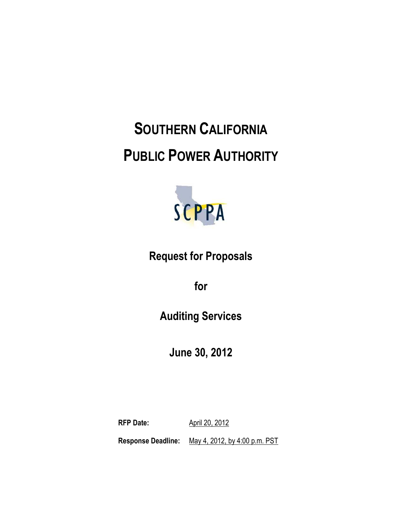# **SOUTHERN CALIFORNIA PUBLIC POWER AUTHORITY**



**Request for Proposals**

**for**

**Auditing Services**

**June 30, 2012**

**RFP Date:** April 20, 2012 **Response Deadline:** May 4, 2012, by 4:00 p.m. PST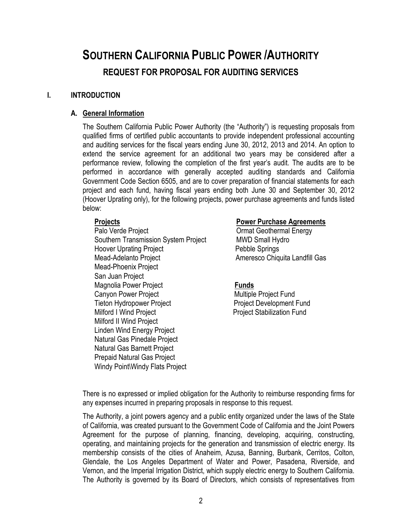## **SOUTHERN CALIFORNIA PUBLIC POWER /AUTHORITY REQUEST FOR PROPOSAL FOR AUDITING SERVICES**

#### **I. INTRODUCTION**

#### **A. General Information**

The Southern California Public Power Authority (the "Authority") is requesting proposals from qualified firms of certified public accountants to provide independent professional accounting and auditing services for the fiscal years ending June 30, 2012, 2013 and 2014. An option to extend the service agreement for an additional two years may be considered after a performance review, following the completion of the first year's audit. The audits are to be performed in accordance with generally accepted auditing standards and California Government Code Section 6505, and are to cover preparation of financial statements for each project and each fund, having fiscal years ending both June 30 and September 30, 2012 (Hoover Uprating only), for the following projects, power purchase agreements and funds listed below:

Palo Verde Project **National Energy** Ormat Geothermal Energy Southern Transmission System Project MWD Small Hydro Hoover Uprating Project **Pebble Springs** Mead-Adelanto Project **Ameresco Chiquita Landfill Gas** Mead-Phoenix Project San Juan Project **Magnolia Power Project Communication Communication Funds** Canyon Power Project **Multiple Project Fund** Tieton Hydropower Project **Project Provident Project** Project Development Fund Milford I Wind Project **No. 2018** Project Stabilization Fund Milford II Wind Project Linden Wind Energy Project Natural Gas Pinedale Project Natural Gas Barnett Project Prepaid Natural Gas Project Windy Point\Windy Flats Project

#### **Projects** Power Purchase Agreements

There is no expressed or implied obligation for the Authority to reimburse responding firms for any expenses incurred in preparing proposals in response to this request.

The Authority, a joint powers agency and a public entity organized under the laws of the State of California, was created pursuant to the Government Code of California and the Joint Powers Agreement for the purpose of planning, financing, developing, acquiring, constructing, operating, and maintaining projects for the generation and transmission of electric energy. Its membership consists of the cities of Anaheim, Azusa, Banning, Burbank, Cerritos, Colton, Glendale, the Los Angeles Department of Water and Power, Pasadena, Riverside, and Vernon, and the Imperial Irrigation District, which supply electric energy to Southern California. The Authority is governed by its Board of Directors, which consists of representatives from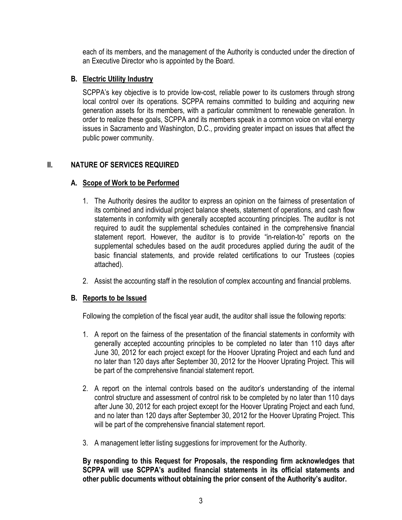each of its members, and the management of the Authority is conducted under the direction of an Executive Director who is appointed by the Board.

#### **B. Electric Utility Industry**

SCPPA's key objective is to provide low-cost, reliable power to its customers through strong local control over its operations. SCPPA remains committed to building and acquiring new generation assets for its members, with a particular commitment to renewable generation. In order to realize these goals, SCPPA and its members speak in a common voice on vital energy issues in Sacramento and Washington, D.C., providing greater impact on issues that affect the public power community.

### **II. NATURE OF SERVICES REQUIRED**

#### **A. Scope of Work to be Performed**

- 1. The Authority desires the auditor to express an opinion on the fairness of presentation of its combined and individual project balance sheets, statement of operations, and cash flow statements in conformity with generally accepted accounting principles. The auditor is not required to audit the supplemental schedules contained in the comprehensive financial statement report. However, the auditor is to provide "in-relation-to" reports on the supplemental schedules based on the audit procedures applied during the audit of the basic financial statements, and provide related certifications to our Trustees (copies attached).
- 2. Assist the accounting staff in the resolution of complex accounting and financial problems.

#### **B. Reports to be Issued**

Following the completion of the fiscal year audit, the auditor shall issue the following reports:

- 1. A report on the fairness of the presentation of the financial statements in conformity with generally accepted accounting principles to be completed no later than 110 days after June 30, 2012 for each project except for the Hoover Uprating Project and each fund and no later than 120 days after September 30, 2012 for the Hoover Uprating Project. This will be part of the comprehensive financial statement report.
- 2. A report on the internal controls based on the auditor's understanding of the internal control structure and assessment of control risk to be completed by no later than 110 days after June 30, 2012 for each project except for the Hoover Uprating Project and each fund, and no later than 120 days after September 30, 2012 for the Hoover Uprating Project. This will be part of the comprehensive financial statement report.
- 3. A management letter listing suggestions for improvement for the Authority.

**By responding to this Request for Proposals, the responding firm acknowledges that SCPPA will use SCPPA's audited financial statements in its official statements and other public documents without obtaining the prior consent of the Authority's auditor.**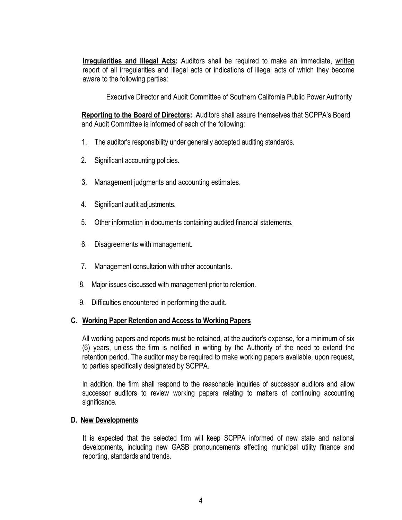**Irreqularities and Illegal Acts:** Auditors shall be required to make an immediate, written report of all irregularities and illegal acts or indications of illegal acts of which they become aware to the following parties:

Executive Director and Audit Committee of Southern California Public Power Authority

**Reporting to the Board of Directors:** Auditors shall assure themselves that SCPPA's Board and Audit Committee is informed of each of the following:

- 1. The auditor's responsibility under generally accepted auditing standards.
- 2. Significant accounting policies.
- 3. Management judgments and accounting estimates.
- 4. Significant audit adjustments.
- 5. Other information in documents containing audited financial statements.
- 6. Disagreements with management.
- 7. Management consultation with other accountants.
- 8. Major issues discussed with management prior to retention.
- 9. Difficulties encountered in performing the audit.

#### **C. Working Paper Retention and Access to Working Papers**

All working papers and reports must be retained, at the auditor's expense, for a minimum of six (6) years, unless the firm is notified in writing by the Authority of the need to extend the retention period. The auditor may be required to make working papers available, upon request, to parties specifically designated by SCPPA.

In addition, the firm shall respond to the reasonable inquiries of successor auditors and allow successor auditors to review working papers relating to matters of continuing accounting significance.

#### **D. New Developments**

It is expected that the selected firm will keep SCPPA informed of new state and national developments, including new GASB pronouncements affecting municipal utility finance and reporting, standards and trends.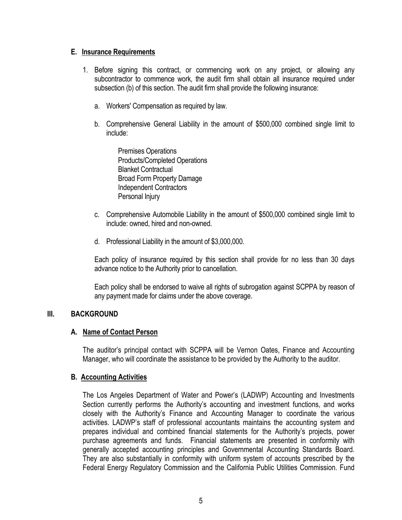#### **E. Insurance Requirements**

- 1. Before signing this contract, or commencing work on any project, or allowing any subcontractor to commence work, the audit firm shall obtain all insurance required under subsection (b) of this section. The audit firm shall provide the following insurance:
	- a. Workers' Compensation as required by law.
	- b. Comprehensive General Liability in the amount of \$500,000 combined single limit to include:

Premises Operations Products/Completed Operations Blanket Contractual Broad Form Property Damage Independent Contractors Personal Injury

- c. Comprehensive Automobile Liability in the amount of \$500,000 combined single limit to include: owned, hired and non-owned.
- d. Professional Liability in the amount of \$3,000,000.

Each policy of insurance required by this section shall provide for no less than 30 days advance notice to the Authority prior to cancellation.

Each policy shall be endorsed to waive all rights of subrogation against SCPPA by reason of any payment made for claims under the above coverage.

#### **III. BACKGROUND**

#### **A. Name of Contact Person**

The auditor's principal contact with SCPPA will be Vernon Oates, Finance and Accounting Manager, who will coordinate the assistance to be provided by the Authority to the auditor.

#### **B. Accounting Activities**

The Los Angeles Department of Water and Power's (LADWP) Accounting and Investments Section currently performs the Authority's accounting and investment functions, and works closely with the Authority's Finance and Accounting Manager to coordinate the various activities. LADWP's staff of professional accountants maintains the accounting system and prepares individual and combined financial statements for the Authority's projects, power purchase agreements and funds. Financial statements are presented in conformity with generally accepted accounting principles and Governmental Accounting Standards Board. They are also substantially in conformity with uniform system of accounts prescribed by the Federal Energy Regulatory Commission and the California Public Utilities Commission. Fund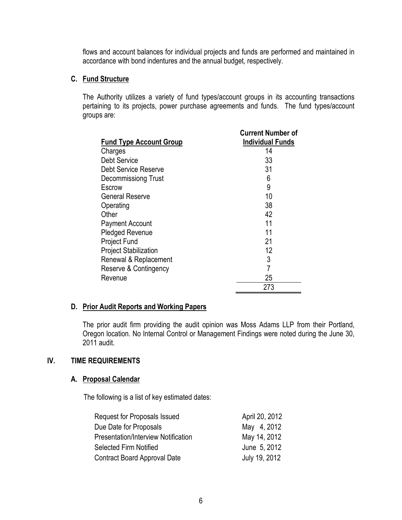flows and account balances for individual projects and funds are performed and maintained in accordance with bond indentures and the annual budget, respectively.

#### **C. Fund Structure**

The Authority utilizes a variety of fund types/account groups in its accounting transactions pertaining to its projects, power purchase agreements and funds. The fund types/account groups are:

| <b>Fund Type Account Group</b> | <b>Current Number of</b><br><b>Individual Funds</b> |
|--------------------------------|-----------------------------------------------------|
| Charges                        | 14                                                  |
| <b>Debt Service</b>            | 33                                                  |
| Debt Service Reserve           | 31                                                  |
| <b>Decommissiong Trust</b>     | 6                                                   |
| Escrow                         | 9                                                   |
| <b>General Reserve</b>         | 10                                                  |
| Operating                      | 38                                                  |
| Other                          | 42                                                  |
| <b>Payment Account</b>         | 11                                                  |
| <b>Pledged Revenue</b>         | 11                                                  |
| <b>Project Fund</b>            | 21                                                  |
| <b>Project Stabilization</b>   | 12                                                  |
| Renewal & Replacement          | 3                                                   |
| Reserve & Contingency          | $\overline{7}$                                      |
| Revenue                        | 25                                                  |
|                                | 273                                                 |

#### **D. Prior Audit Reports and Working Papers**

The prior audit firm providing the audit opinion was Moss Adams LLP from their Portland, Oregon location. No Internal Control or Management Findings were noted during the June 30, 2011 audit.

#### **IV. TIME REQUIREMENTS**

### **A. Proposal Calendar**

The following is a list of key estimated dates:

| Request for Proposals Issued        | April 20, 2012 |
|-------------------------------------|----------------|
| Due Date for Proposals              | May 4, 2012    |
| Presentation/Interview Notification | May 14, 2012   |
| Selected Firm Notified              | June 5, 2012   |
| <b>Contract Board Approval Date</b> | July 19, 2012  |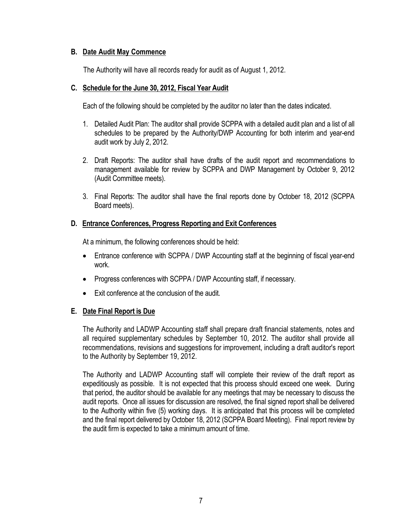#### **B. Date Audit May Commence**

The Authority will have all records ready for audit as of August 1, 2012.

#### **C. Schedule for the June 30, 2012, Fiscal Year Audit**

Each of the following should be completed by the auditor no later than the dates indicated.

- 1. Detailed Audit Plan: The auditor shall provide SCPPA with a detailed audit plan and a list of all schedules to be prepared by the Authority/DWP Accounting for both interim and year-end audit work by July 2, 2012.
- 2. Draft Reports: The auditor shall have drafts of the audit report and recommendations to management available for review by SCPPA and DWP Management by October 9, 2012 (Audit Committee meets).
- 3. Final Reports: The auditor shall have the final reports done by October 18, 2012 (SCPPA Board meets).

#### **D. Entrance Conferences, Progress Reporting and Exit Conferences**

At a minimum, the following conferences should be held:

- Entrance conference with SCPPA / DWP Accounting staff at the beginning of fiscal year-end work.
- Progress conferences with SCPPA / DWP Accounting staff, if necessary.
- Exit conference at the conclusion of the audit.

#### **E. Date Final Report is Due**

The Authority and LADWP Accounting staff shall prepare draft financial statements, notes and all required supplementary schedules by September 10, 2012. The auditor shall provide all recommendations, revisions and suggestions for improvement, including a draft auditor's report to the Authority by September 19, 2012.

The Authority and LADWP Accounting staff will complete their review of the draft report as expeditiously as possible. It is not expected that this process should exceed one week. During that period, the auditor should be available for any meetings that may be necessary to discuss the audit reports. Once all issues for discussion are resolved, the final signed report shall be delivered to the Authority within five (5) working days. It is anticipated that this process will be completed and the final report delivered by October 18, 2012 (SCPPA Board Meeting). Final report review by the audit firm is expected to take a minimum amount of time.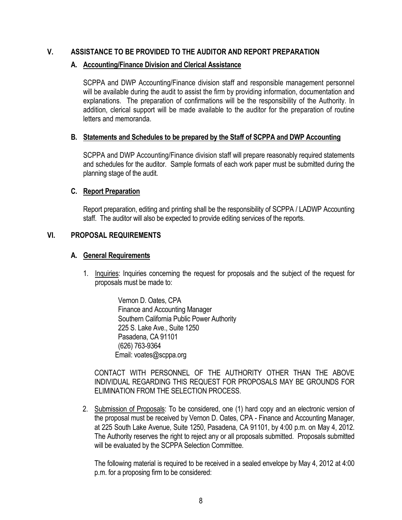#### **V. ASSISTANCE TO BE PROVIDED TO THE AUDITOR AND REPORT PREPARATION**

#### **A. Accounting/Finance Division and Clerical Assistance**

SCPPA and DWP Accounting/Finance division staff and responsible management personnel will be available during the audit to assist the firm by providing information, documentation and explanations. The preparation of confirmations will be the responsibility of the Authority. In addition, clerical support will be made available to the auditor for the preparation of routine letters and memoranda.

#### **B. Statements and Schedules to be prepared by the Staff of SCPPA and DWP Accounting**

SCPPA and DWP Accounting/Finance division staff will prepare reasonably required statements and schedules for the auditor. Sample formats of each work paper must be submitted during the planning stage of the audit.

#### **C. Report Preparation**

Report preparation, editing and printing shall be the responsibility of SCPPA / LADWP Accounting staff. The auditor will also be expected to provide editing services of the reports.

#### **VI. PROPOSAL REQUIREMENTS**

#### **A. General Requirements**

1. Inquiries: Inquiries concerning the request for proposals and the subject of the request for proposals must be made to:

> Vernon D. Oates, CPA Finance and Accounting Manager Southern California Public Power Authority 225 S. Lake Ave., Suite 1250 Pasadena, CA 91101 (626) 763-9364 Email: voates@scppa.org

CONTACT WITH PERSONNEL OF THE AUTHORITY OTHER THAN THE ABOVE INDIVIDUAL REGARDING THIS REQUEST FOR PROPOSALS MAY BE GROUNDS FOR ELIMINATION FROM THE SELECTION PROCESS.

2. Submission of Proposals: To be considered, one (1) hard copy and an electronic version of the proposal must be received by Vernon D. Oates, CPA - Finance and Accounting Manager, at 225 South Lake Avenue, Suite 1250, Pasadena, CA 91101, by 4:00 p.m. on May 4, 2012. The Authority reserves the right to reject any or all proposals submitted. Proposals submitted will be evaluated by the SCPPA Selection Committee.

The following material is required to be received in a sealed envelope by May 4, 2012 at 4:00 p.m. for a proposing firm to be considered: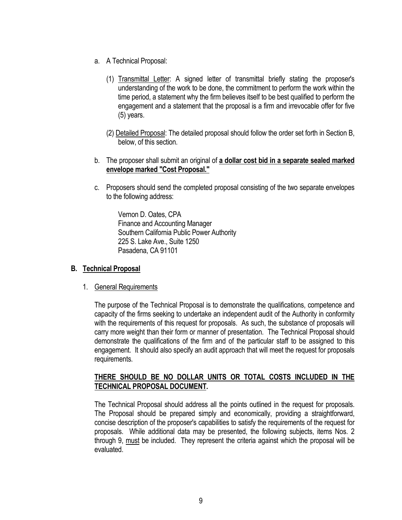- a. A Technical Proposal:
	- (1) Transmittal Letter: A signed letter of transmittal briefly stating the proposer's understanding of the work to be done, the commitment to perform the work within the time period, a statement why the firm believes itself to be best qualified to perform the engagement and a statement that the proposal is a firm and irrevocable offer for five (5) years.
	- (2) Detailed Proposal: The detailed proposal should follow the order set forth in Section B, below, of this section.
- b. The proposer shall submit an original of **a dollar cost bid in a separate sealed marked envelope marked "Cost Proposal."**
- c. Proposers should send the completed proposal consisting of the two separate envelopes to the following address:

Vernon D. Oates, CPA Finance and Accounting Manager Southern California Public Power Authority 225 S. Lake Ave., Suite 1250 Pasadena, CA 91101

#### **B. Technical Proposal**

#### 1. General Requirements

The purpose of the Technical Proposal is to demonstrate the qualifications, competence and capacity of the firms seeking to undertake an independent audit of the Authority in conformity with the requirements of this request for proposals. As such, the substance of proposals will carry more weight than their form or manner of presentation. The Technical Proposal should demonstrate the qualifications of the firm and of the particular staff to be assigned to this engagement. It should also specify an audit approach that will meet the request for proposals requirements.

#### **THERE SHOULD BE NO DOLLAR UNITS OR TOTAL COSTS INCLUDED IN THE TECHNICAL PROPOSAL DOCUMENT.**

The Technical Proposal should address all the points outlined in the request for proposals. The Proposal should be prepared simply and economically, providing a straightforward, concise description of the proposer's capabilities to satisfy the requirements of the request for proposals. While additional data may be presented, the following subjects, items Nos. 2 through 9, must be included. They represent the criteria against which the proposal will be evaluated.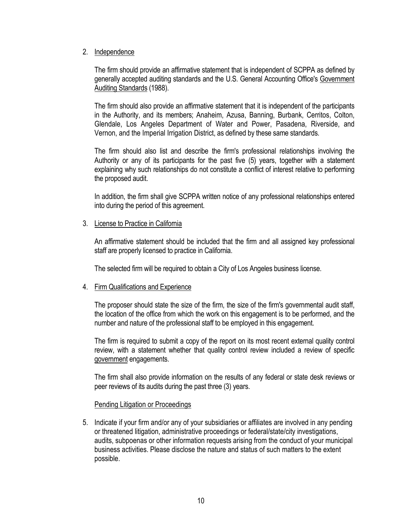#### 2. Independence

The firm should provide an affirmative statement that is independent of SCPPA as defined by generally accepted auditing standards and the U.S. General Accounting Office's Government Auditing Standards (1988).

The firm should also provide an affirmative statement that it is independent of the participants in the Authority, and its members; Anaheim, Azusa, Banning, Burbank, Cerritos, Colton, Glendale, Los Angeles Department of Water and Power, Pasadena, Riverside, and Vernon, and the Imperial Irrigation District, as defined by these same standards.

The firm should also list and describe the firm's professional relationships involving the Authority or any of its participants for the past five (5) years, together with a statement explaining why such relationships do not constitute a conflict of interest relative to performing the proposed audit.

In addition, the firm shall give SCPPA written notice of any professional relationships entered into during the period of this agreement.

#### 3. License to Practice in California

An affirmative statement should be included that the firm and all assigned key professional staff are properly licensed to practice in California.

The selected firm will be required to obtain a City of Los Angeles business license.

#### 4. Firm Qualifications and Experience

The proposer should state the size of the firm, the size of the firm's governmental audit staff, the location of the office from which the work on this engagement is to be performed, and the number and nature of the professional staff to be employed in this engagement.

The firm is required to submit a copy of the report on its most recent external quality control review, with a statement whether that quality control review included a review of specific government engagements.

The firm shall also provide information on the results of any federal or state desk reviews or peer reviews of its audits during the past three (3) years.

#### Pending Litigation or Proceedings

5. Indicate if your firm and/or any of your subsidiaries or affiliates are involved in any pending or threatened litigation, administrative proceedings or federal/state/city investigations, audits, subpoenas or other information requests arising from the conduct of your municipal business activities. Please disclose the nature and status of such matters to the extent possible.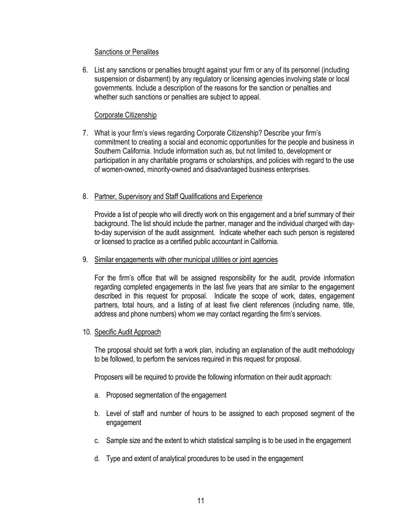#### Sanctions or Penalites

6. List any sanctions or penalties brought against your firm or any of its personnel (including suspension or disbarment) by any regulatory or licensing agencies involving state or local governments. Include a description of the reasons for the sanction or penalties and whether such sanctions or penalties are subject to appeal.

#### Corporate Citizenship

7. What is your firm's views regarding Corporate Citizenship? Describe your firm's commitment to creating a social and economic opportunities for the people and business in Southern California. Include information such as, but not limited to, development or participation in any charitable programs or scholarships, and policies with regard to the use of women-owned, minority-owned and disadvantaged business enterprises.

#### 8. Partner, Supervisory and Staff Qualifications and Experience

Provide a list of people who will directly work on this engagement and a brief summary of their background. The list should include the partner, manager and the individual charged with dayto-day supervision of the audit assignment. Indicate whether each such person is registered or licensed to practice as a certified public accountant in California.

#### 9. Similar engagements with other municipal utilities or joint agencies

For the firm's office that will be assigned responsibility for the audit, provide information regarding completed engagements in the last five years that are similar to the engagement described in this request for proposal. Indicate the scope of work, dates, engagement partners, total hours, and a listing of at least five client references (including name, title, address and phone numbers) whom we may contact regarding the firm's services.

#### 10. Specific Audit Approach

The proposal should set forth a work plan, including an explanation of the audit methodology to be followed, to perform the services required in this request for proposal.

Proposers will be required to provide the following information on their audit approach:

- a. Proposed segmentation of the engagement
- b. Level of staff and number of hours to be assigned to each proposed segment of the engagement
- c. Sample size and the extent to which statistical sampling is to be used in the engagement
- d. Type and extent of analytical procedures to be used in the engagement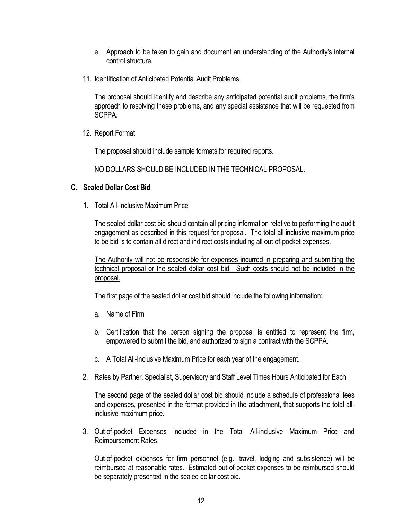- e. Approach to be taken to gain and document an understanding of the Authority's internal control structure.
- 11. Identification of Anticipated Potential Audit Problems

The proposal should identify and describe any anticipated potential audit problems, the firm's approach to resolving these problems, and any special assistance that will be requested from SCPPA.

12. Report Format

The proposal should include sample formats for required reports.

NO DOLLARS SHOULD BE INCLUDED IN THE TECHNICAL PROPOSAL.

#### **C. Sealed Dollar Cost Bid**

1. Total All-Inclusive Maximum Price

The sealed dollar cost bid should contain all pricing information relative to performing the audit engagement as described in this request for proposal. The total all-inclusive maximum price to be bid is to contain all direct and indirect costs including all out-of-pocket expenses.

The Authority will not be responsible for expenses incurred in preparing and submitting the technical proposal or the sealed dollar cost bid. Such costs should not be included in the proposal.

The first page of the sealed dollar cost bid should include the following information:

- a. Name of Firm
- b. Certification that the person signing the proposal is entitled to represent the firm, empowered to submit the bid, and authorized to sign a contract with the SCPPA.
- c. A Total All-Inclusive Maximum Price for each year of the engagement.
- 2. Rates by Partner, Specialist, Supervisory and Staff Level Times Hours Anticipated for Each

The second page of the sealed dollar cost bid should include a schedule of professional fees and expenses, presented in the format provided in the attachment, that supports the total allinclusive maximum price.

3. Out-of-pocket Expenses Included in the Total All-inclusive Maximum Price and Reimbursement Rates

Out-of-pocket expenses for firm personnel (e.g., travel, lodging and subsistence) will be reimbursed at reasonable rates. Estimated out-of-pocket expenses to be reimbursed should be separately presented in the sealed dollar cost bid.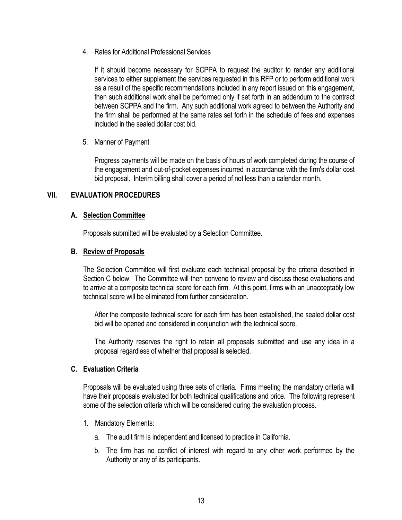4. Rates for Additional Professional Services

If it should become necessary for SCPPA to request the auditor to render any additional services to either supplement the services requested in this RFP or to perform additional work as a result of the specific recommendations included in any report issued on this engagement, then such additional work shall be performed only if set forth in an addendum to the contract between SCPPA and the firm. Any such additional work agreed to between the Authority and the firm shall be performed at the same rates set forth in the schedule of fees and expenses included in the sealed dollar cost bid.

5. Manner of Payment

Progress payments will be made on the basis of hours of work completed during the course of the engagement and out-of-pocket expenses incurred in accordance with the firm's dollar cost bid proposal. Interim billing shall cover a period of not less than a calendar month.

#### **VII. EVALUATION PROCEDURES**

#### **A. Selection Committee**

Proposals submitted will be evaluated by a Selection Committee.

#### **B. Review of Proposals**

The Selection Committee will first evaluate each technical proposal by the criteria described in Section C below. The Committee will then convene to review and discuss these evaluations and to arrive at a composite technical score for each firm. At this point, firms with an unacceptably low technical score will be eliminated from further consideration.

After the composite technical score for each firm has been established, the sealed dollar cost bid will be opened and considered in conjunction with the technical score.

The Authority reserves the right to retain all proposals submitted and use any idea in a proposal regardless of whether that proposal is selected.

#### **C. Evaluation Criteria**

Proposals will be evaluated using three sets of criteria. Firms meeting the mandatory criteria will have their proposals evaluated for both technical qualifications and price. The following represent some of the selection criteria which will be considered during the evaluation process.

- 1. Mandatory Elements:
	- a. The audit firm is independent and licensed to practice in California.
	- b. The firm has no conflict of interest with regard to any other work performed by the Authority or any of its participants.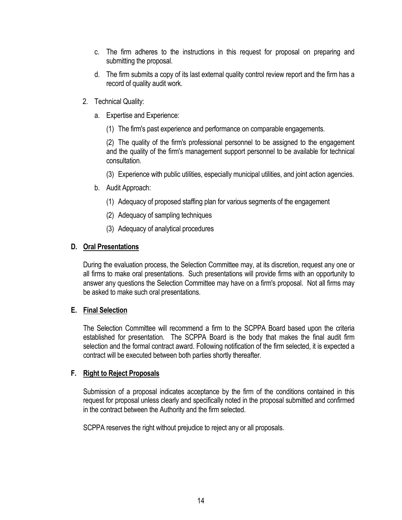- c. The firm adheres to the instructions in this request for proposal on preparing and submitting the proposal.
- d. The firm submits a copy of its last external quality control review report and the firm has a record of quality audit work.
- 2. Technical Quality:
	- a. Expertise and Experience:
		- (1) The firm's past experience and performance on comparable engagements.

(2) The quality of the firm's professional personnel to be assigned to the engagement and the quality of the firm's management support personnel to be available for technical consultation.

- (3) Experience with public utilities, especially municipal utilities, and joint action agencies.
- b. Audit Approach:
	- (1) Adequacy of proposed staffing plan for various segments of the engagement
	- (2) Adequacy of sampling techniques
	- (3) Adequacy of analytical procedures

#### **D. Oral Presentations**

During the evaluation process, the Selection Committee may, at its discretion, request any one or all firms to make oral presentations. Such presentations will provide firms with an opportunity to answer any questions the Selection Committee may have on a firm's proposal. Not all firms may be asked to make such oral presentations.

#### **E. Final Selection**

The Selection Committee will recommend a firm to the SCPPA Board based upon the criteria established for presentation. The SCPPA Board is the body that makes the final audit firm selection and the formal contract award. Following notification of the firm selected, it is expected a contract will be executed between both parties shortly thereafter.

#### **F. Right to Reject Proposals**

Submission of a proposal indicates acceptance by the firm of the conditions contained in this request for proposal unless clearly and specifically noted in the proposal submitted and confirmed in the contract between the Authority and the firm selected.

SCPPA reserves the right without prejudice to reject any or all proposals.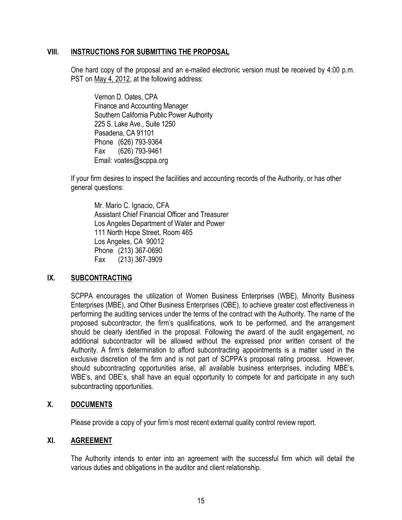#### **VIII. INSTRUCTIONS FOR SUBMITTING THE PROPOSAL**

One hard copy of the proposal and an e-mailed electronic version must be received by 4:00 p.m. PST on May 4, 2012, at the following address:

Vernon D. Oates, CPA Finance and Accounting Manager Southern California Public Power Authority 225 S. Lake Ave., Suite 1250 Pasadena, CA 91101 Phone (626) 793-9364 Fax (626) 793-9461 Email: voates@scppa.org

If your firm desires to inspect the facilities and accounting records of the Authority, or has other general questions:

Mr. Mario C. Ignacio, CFA Assistant Chief Financial Officer and Treasurer Los Angeles Department of Water and Power 111 North Hope Street, Room 465 Los Angeles, CA 90012 Phone (213) 367-0690 Fax (213) 367-3909

#### **IX. SUBCONTRACTING**

SCPPA encourages the utilization of Women Business Enterprises (WBE), Minority Business Enterprises (MBE), and Other Business Enterprises (OBE), to achieve greater cost effectiveness in performing the auditing services under the terms of the contract with the Authority. The name of the proposed subcontractor, the firm's qualifications, work to be performed, and the arrangement should be clearly identified in the proposal. Following the award of the audit engagement, no additional subcontractor will be allowed without the expressed prior written consent of the Authority. A firm's determination to afford subcontracting appointments is a matter used in the exclusive discretion of the firm and is not part of SCPPA's proposal rating process. However, should subcontracting opportunities arise, all available business enterprises, including MBE's, WBE's, and OBE's, shall have an equal opportunity to compete for and participate in any such subcontracting opportunities.

#### **X. DOCUMENTS**

Please provide a copy of your firm's most recent external quality control review report.

#### **XI. AGREEMENT**

The Authority intends to enter into an agreement with the successful firm which will detail the various duties and obligations in the auditor and client relationship.